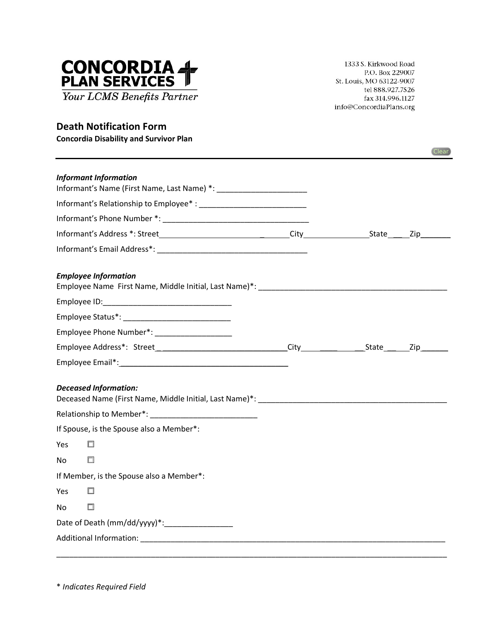

1333 S. Kirkwood Road P.O. Box 229007 St. Louis, MO 63122-9007 tel 888.927.7526 fax 314.996.1127 info@ConcordiaPlans.org

## **Death Notification Form**

**Concordia Disability and Survivor Plan**

|                                               |  | Clear |
|-----------------------------------------------|--|-------|
| <b>Informant Information</b>                  |  |       |
|                                               |  |       |
|                                               |  |       |
|                                               |  |       |
|                                               |  |       |
| <b>Employee Information</b>                   |  |       |
|                                               |  |       |
|                                               |  |       |
| Employee Phone Number*: _____________________ |  |       |
|                                               |  |       |
|                                               |  |       |
| <b>Deceased Information:</b>                  |  |       |
|                                               |  |       |
| If Spouse, is the Spouse also a Member*:      |  |       |
| Yes<br>п                                      |  |       |
| $\Box$<br>No                                  |  |       |
| If Member, is the Spouse also a Member*:      |  |       |
| Yes<br>□                                      |  |       |
| No                                            |  |       |
|                                               |  |       |
|                                               |  |       |
|                                               |  |       |